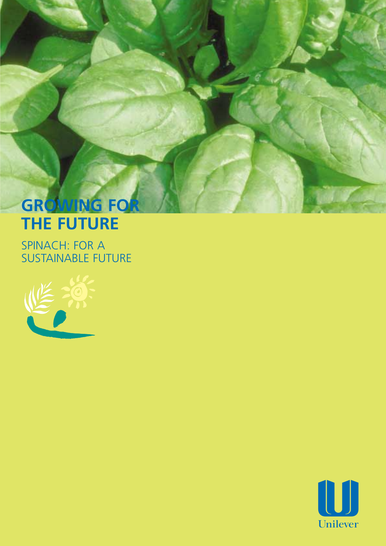# **GROWING FOR THE FUTURE**

SPINACH: FOR A SUSTAINABLE FUTURE



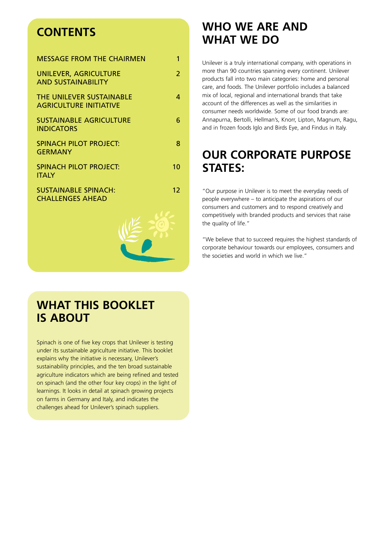# **CONTENTS**

| <b>MESSAGE FROM THE CHAIRMEN</b>                          | 1             |
|-----------------------------------------------------------|---------------|
| UNILEVER, AGRICULTURE<br><b>AND SUSTAINABILITY</b>        | $\mathcal{P}$ |
| THE UNILEVER SUSTAINABLE<br><b>AGRICULTURE INITIATIVE</b> | 4             |
| <b>SUSTAINABLE AGRICULTURE</b><br><b>INDICATORS</b>       | 6             |
| SPINACH PILOT PROJECT:<br><b>GERMANY</b>                  | 8             |
| <b>SPINACH PILOT PROJECT:</b><br><b>ITALY</b>             | 10            |
| <b>SUSTAINABLE SPINACH:</b><br><b>CHALLENGES AHEAD</b>    | 12            |
|                                                           |               |

# **WHO WE ARE AND WHAT WE DO**

Unilever is a truly international company, with operations in more than 90 countries spanning every continent. Unilever products fall into two main categories: home and personal care, and foods. The Unilever portfolio includes a balanced mix of local, regional and international brands that take account of the differences as well as the similarities in consumer needs worldwide. Some of our food brands are: Annapurna, Bertolli, Hellman's, Knorr, Lipton, Magnum, Ragu, and in frozen foods Iglo and Birds Eye, and Findus in Italy.

# **OUR CORPORATE PURPOSE STATES:**

"Our purpose in Unilever is to meet the everyday needs of people everywhere – to anticipate the aspirations of our consumers and customers and to respond creatively and competitively with branded products and services that raise the quality of life."

"We believe that to succeed requires the highest standards of corporate behaviour towards our employees, consumers and the societies and world in which we live."

# **WHAT THIS BOOKLET IS ABOUT**

Spinach is one of five key crops that Unilever is testing under its sustainable agriculture initiative. This booklet explains why the initiative is necessary, Unilever's sustainability principles, and the ten broad sustainable agriculture indicators which are being refined and tested on spinach (and the other four key crops) in the light of learnings. It looks in detail at spinach growing projects on farms in Germany and Italy, and indicates the challenges ahead for Unilever's spinach suppliers.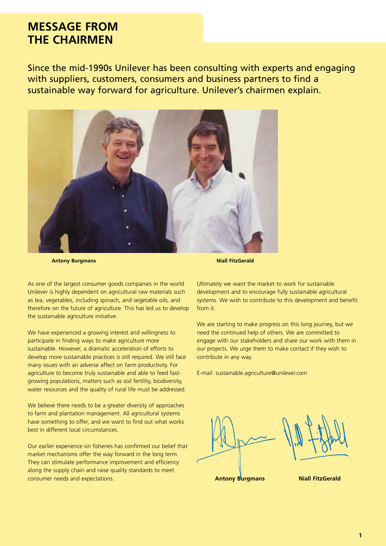### **MESSAGE FROM THE CHAIRMEN**

Since the mid-1990s Unilever has been consulting with experts and engaging with suppliers, customers, consumers and business partners to find a sustainable way forward for agriculture. Unilever's chairmen explain.



**Antony Burgmans** 

**Niall FitzGerald** 

As one of the largest consumer goods companies in the world Unilever is highly dependent on agricultural raw materials such as tea, vegetables, including spinach, and vegetable oils, and therefore on the future of agriculture. This has led us to develop the sustainable agriculture initiative.

We have experienced a growing interest and willingness to participate in finding ways to make agriculture more sustainable. However, a dramatic acceleration of efforts to develop more sustainable practices is still required. We still face many issues with an adverse affect on farm productivity. For agriculture to become truly sustainable and able to feed fastgrowing populations, matters such as soil fertility, biodiversity, water resources and the quality of rural life must be addressed.

We believe there needs to be a greater diversity of approaches to farm and plantation management. All agricultural systems have something to offer, and we want to find out what works best in different local circumstances.

Our earlier experience on fisheries has confirmed our belief that market mechanisms offer the way forward in the long term. They can stimulate performance improvement and efficiency along the supply chain and raise quality standards to meet consumer needs and expectations. **Antony Burgmans Niall FitzGerald**

Ultimately we want the market to work for sustainable development and to encourage fully sustainable agricultural systems. We wish to contribute to this development and benefit from it.

We are starting to make progress on this long journey, but we need the continued help of others. We are committed to engage with our stakeholders and share our work with them in our projects. We urge them to make contact if they wish to contribute in any way.

E-mail: sustainable.agriculture@unilever.com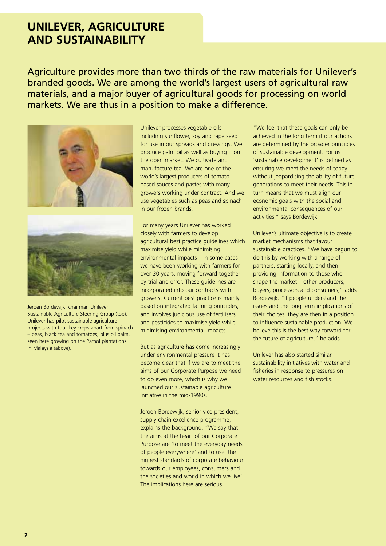### **UNILEVER, AGRICULTURE AND SUSTAINABILITY**

Agriculture provides more than two thirds of the raw materials for Unilever's branded goods. We are among the world's largest users of agricultural raw materials, and a major buyer of agricultural goods for processing on world markets. We are thus in a position to make a difference.





Jeroen Bordewijk, chairman Unilever Sustainable Agriculture Steering Group (top). Unilever has pilot sustainable agriculture projects with four key crops apart from spinach – peas, black tea and tomatoes, plus oil palm, seen here growing on the Pamol plantations in Malaysia (above).

Unilever processes vegetable oils including sunflower, soy and rape seed for use in our spreads and dressings. We produce palm oil as well as buying it on the open market. We cultivate and manufacture tea. We are one of the world's largest producers of tomatobased sauces and pastes with many growers working under contract. And we use vegetables such as peas and spinach in our frozen brands.

For many years Unilever has worked closely with farmers to develop agricultural best practice guidelines which maximise yield while minimising environmental impacts – in some cases we have been working with farmers for over 30 years, moving forward together by trial and error. These guidelines are incorporated into our contracts with growers. Current best practice is mainly based on integrated farming principles, and involves judicious use of fertilisers and pesticides to maximise yield while minimising environmental impacts.

But as agriculture has come increasingly under environmental pressure it has become clear that if we are to meet the aims of our Corporate Purpose we need to do even more, which is why we launched our sustainable agriculture initiative in the mid-1990s.

Jeroen Bordewijk, senior vice-president, supply chain excellence programme, explains the background. "We say that the aims at the heart of our Corporate Purpose are 'to meet the everyday needs of people everywhere' and to use 'the highest standards of corporate behaviour towards our employees, consumers and the societies and world in which we live'. The implications here are serious.

"We feel that these goals can only be achieved in the long term if our actions are determined by the broader principles of sustainable development. For us 'sustainable development' is defined as ensuring we meet the needs of today without jeopardising the ability of future generations to meet their needs. This in turn means that we must align our economic goals with the social and environmental consequences of our activities," says Bordewijk.

Unilever's ultimate objective is to create market mechanisms that favour sustainable practices. "We have begun to do this by working with a range of partners, starting locally, and then providing information to those who shape the market – other producers, buyers, processors and consumers," adds Bordewijk. "If people understand the issues and the long term implications of their choices, they are then in a position to influence sustainable production. We believe this is the best way forward for the future of agriculture," he adds.

Unilever has also started similar sustainability initiatives with water and fisheries in response to pressures on water resources and fish stocks.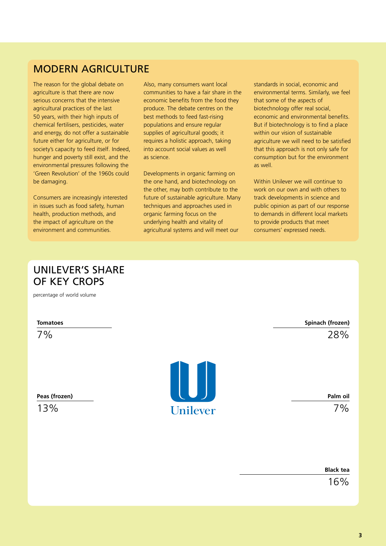### MODERN AGRICULTURE

The reason for the global debate on agriculture is that there are now serious concerns that the intensive agricultural practices of the last 50 years, with their high inputs of chemical fertilisers, pesticides, water and energy, do not offer a sustainable future either for agriculture, or for society's capacity to feed itself. Indeed, hunger and poverty still exist, and the environmental pressures following the 'Green Revolution' of the 1960s could be damaging.

Consumers are increasingly interested in issues such as food safety, human health, production methods, and the impact of agriculture on the environment and communities.

Also, many consumers want local communities to have a fair share in the economic benefits from the food they produce. The debate centres on the best methods to feed fast-rising populations and ensure regular supplies of agricultural goods; it requires a holistic approach, taking into account social values as well as science.

Developments in organic farming on the one hand, and biotechnology on the other, may both contribute to the future of sustainable agriculture. Many techniques and approaches used in organic farming focus on the underlying health and vitality of agricultural systems and will meet our

standards in social, economic and environmental terms. Similarly, we feel that some of the aspects of biotechnology offer real social, economic and environmental benefits. But if biotechnology is to find a place within our vision of sustainable agriculture we will need to be satisfied that this approach is not only safe for consumption but for the environment as well.

Within Unilever we will continue to work on our own and with others to track developments in science and public opinion as part of our response to demands in different local markets to provide products that meet consumers' expressed needs.

### UNILEVER'S SHARE OF KEY CROPS

percentage of world volume

**Tomatoes** 

7%

**Peas (frozen)** 

13%



**Spinach (frozen)**  28%

**Palm oil**  7%

**Black tea** 

16%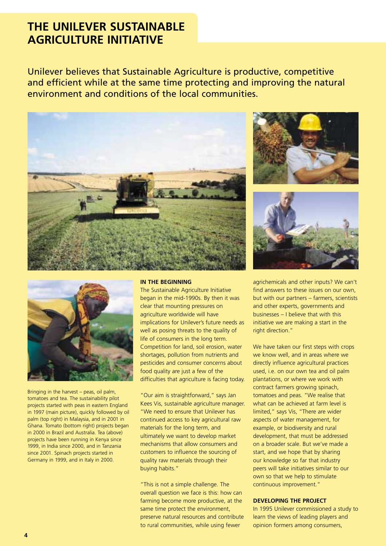# **THE UNILEVER SUSTAINABLE AGRICULTURE INITIATIVE**

Unilever believes that Sustainable Agriculture is productive, competitive and efficient while at the same time protecting and improving the natural environment and conditions of the local communities.









Bringing in the harvest – peas, oil palm, tomatoes and tea. The sustainability pilot projects started with peas in eastern England in 1997 (main picture), quickly followed by oil palm (top right) in Malaysia, and in 2001 in Ghana. Tomato (bottom right) projects began in 2000 in Brazil and Australia. Tea (above) projects have been running in Kenya since 1999, in India since 2000, and in Tanzania since 2001. Spinach projects started in Germany in 1999, and in Italy in 2000.

#### **IN THE BEGINNING**

The Sustainable Agriculture Initiative began in the mid-1990s. By then it was clear that mounting pressures on agriculture worldwide will have implications for Unilever's future needs as well as posing threats to the quality of life of consumers in the long term. Competition for land, soil erosion, water shortages, pollution from nutrients and pesticides and consumer concerns about food quality are just a few of the difficulties that agriculture is facing today.

"Our aim is straightforward," says Jan Kees Vis, sustainable agriculture manager. "We need to ensure that Unilever has continued access to key agricultural raw materials for the long term, and ultimately we want to develop market mechanisms that allow consumers and customers to influence the sourcing of quality raw materials through their buying habits."

"This is not a simple challenge. The overall question we face is this: how can farming become more productive, at the same time protect the environment, preserve natural resources and contribute to rural communities, while using fewer

agrichemicals and other inputs? We can't find answers to these issues on our own, but with our partners – farmers, scientists and other experts, governments and businesses – I believe that with this initiative we are making a start in the right direction."

We have taken our first steps with crops we know well, and in areas where we directly influence agricultural practices used, i.e. on our own tea and oil palm plantations, or where we work with contract farmers growing spinach, tomatoes and peas. "We realise that what can be achieved at farm level is limited," says Vis, "There are wider aspects of water management, for example, or biodiversity and rural development, that must be addressed on a broader scale. But we've made a start, and we hope that by sharing our knowledge so far that industry peers will take initiatives similar to our own so that we help to stimulate continuous improvement."

#### **DEVELOPING THE PROJECT**

In 1995 Unilever commissioned a study to learn the views of leading players and opinion formers among consumers,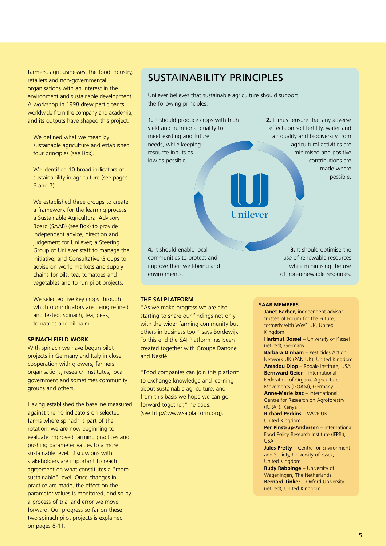farmers, agribusinesses, the food industry, retailers and non-governmental organisations with an interest in the environment and sustainable development. A workshop in 1998 drew participants worldwide from the company and academia, and its outputs have shaped this project.

We defined what we mean by sustainable agriculture and established four principles (see Box).

We identified 10 broad indicators of sustainability in agriculture (see pages 6 and 7).

We established three groups to create a framework for the learning process: a Sustainable Agricultural Advisory Board (SAAB) (see Box) to provide independent advice, direction and judgement for Unilever; a Steering Group of Unilever staff to manage the initiative; and Consultative Groups to advise on world markets and supply chains for oils, tea, tomatoes and vegetables and to run pilot projects.

We selected five key crops through which our indicators are being refined and tested: spinach, tea, peas, tomatoes and oil palm.

#### **SPINACH FIELD WORK**

With spinach we have begun pilot projects in Germany and Italy in close cooperation with growers, farmers' organisations, research institutes, local government and sometimes community groups and others.

Having established the baseline measured against the 10 indicators on selected farms where spinach is part of the rotation, we are now beginning to evaluate improved farming practices and pushing parameter values to a more sustainable level. Discussions with stakeholders are important to reach agreement on what constitutes a "more sustainable" level. Once changes in practice are made, the effect on the parameter values is monitored, and so by a process of trial and error we move forward. Our progress so far on these two spinach pilot projects is explained on pages 8-11.

### SUSTAINABILITY PRINCIPLES

Unilever believes that sustainable agriculture should support the following principles:

**1.** It should produce crops with high yield and nutritional quality to meet existing and future needs, while keeping resource inputs as low as possible.

**2.** It must ensure that any adverse effects on soil fertility, water and air quality and biodiversity from agricultural activities are minimised and positive contributions are made where possible.

**4.** It should enable local communities to protect and improve their well-being and environments.

#### **THE SAI PLATFORM**

"As we make progress we are also starting to share our findings not only with the wider farming community but others in business too," says Bordewijk. To this end the SAI Platform has been created together with Groupe Danone and Nestlé.

"Food companies can join this platform to exchange knowledge and learning about sustainable agriculture, and from this basis we hope we can go forward together," he adds. (see http//:www.saiplatform.org).

**3.** It should optimise the use of renewable resources while minimising the use of non-renewable resources.

#### **SAAB MEMBERS**

Unilever

**Janet Barber**, independent advisor, trustee of Forum for the Future, formerly with WWF UK, United Kingdom **Hartmut Bossel** – University of Kassel (retired), Germany **Barbara Dinham** – Pesticides Action Network UK (PAN UK), United Kingdom **Amadou Diop** – Rodale Institute, USA **Bernward Geier** – International Federation of Organic Agriculture Movements (IFOAM), Germany **Anne-Marie Izac** – International Centre for Research on Agroforestry (ICRAF), Kenya **Richard Perkins** – WWF UK, United Kingdom **Per Pinstrup-Andersen** – International Food Policy Research Institute (IFPRI), USA **Jules Pretty** – Centre for Environment and Society, University of Essex, United Kingdom **Rudy Rabbinge - University of** Wageningen, The Netherlands **Bernard Tinker** – Oxford University

(retired), United Kingdom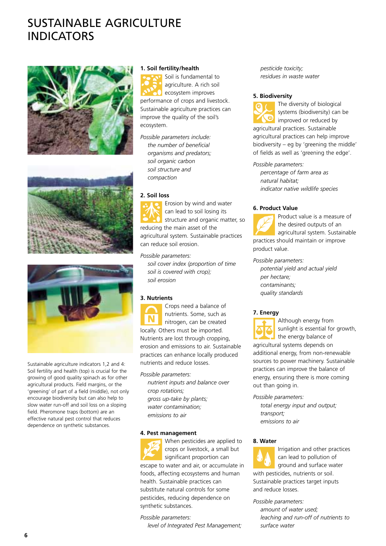# SUSTAINABLE AGRICULTURE **INDICATORS**







Sustainable agriculture indicators 1,2 and 4: Soil fertility and health (top) is crucial for the growing of good quality spinach as for other agricultural products. Field margins, or the 'greening' of part of a field (middle), not only encourage biodiversity but can also help to slow water run-off and soil loss on a sloping field. Pheromone traps (bottom) are an effective natural pest control that reduces dependence on synthetic substances.

#### **1. Soil fertility/health**

Soil is fundamental to agriculture. A rich soil ecosystem improves performance of crops and livestock. Sustainable agriculture practices can improve the quality of the soil's ecosystem.

*Possible parameters include: the number of beneficial organisms and predators; soil organic carbon soil structure and compaction* 

#### **2. Soil loss**

Erosion by wind and water can lead to soil losing its structure and organic matter, so reducing the main asset of the agricultural system. Sustainable practices can reduce soil erosion.

*Possible parameters:* 

*soil cover index (proportion of time soil is covered with crop); soil erosion* 

#### **3. Nutrients**

Crops need a balance of nutrients. Some, such as nitrogen, can be created locally. Others must be imported. Nutrients are lost through cropping, erosion and emissions to air. Sustainable practices can enhance locally produced nutrients and reduce losses.

*Possible parameters: nutrient inputs and balance over crop rotations; gross up-take by plants; water contamination; emissions to air* 

#### **4. Pest management**

When pesticides are applied to crops or livestock, a small but significant proportion can escape to water and air, or accumulate in foods, affecting ecosystems and human health. Sustainable practices can substitute natural controls for some pesticides, reducing dependence on synthetic substances.

#### *Possible parameters:*

*level of Integrated Pest Management;* 

*pesticide toxicity; residues in waste water* 

#### **5. Biodiversity**



The diversity of biological systems (biodiversity) can be improved or reduced by agricultural practices. Sustainable agricultural practices can help improve biodiversity – eg by 'greening the middle' of fields as well as 'greening the edge'.

*Possible parameters:* 

*percentage of farm area as natural habitat; indicator native wildlife species* 

#### **6. Product Value**



Product value is a measure of the desired outputs of an agricultural system. Sustainable practices should maintain or improve

*Possible parameters:* 

*potential yield and actual yield per hectare; contaminants; quality standards* 

#### **7. Energy**



Although energy from sunlight is essential for growth, the energy balance of agricultural systems depends on additional energy, from non-renewable sources to power machinery. Sustainable practices can improve the balance of energy, ensuring there is more coming out than going in.

*Possible parameters:* 

*total energy input and output; transport; emissions to air* 

#### **8. Water**



Irrigation and other practices can lead to pollution of ground and surface water with pesticides, nutrients or soil. Sustainable practices target inputs and reduce losses.

#### *Possible parameters:*

*amount of water used; leaching and run-off of nutrients to surface water*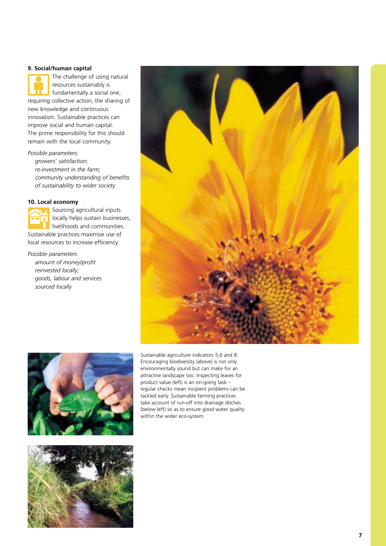#### **9. Social/human capital**

The challenge of using natural resources sustainably is fundamentally a social one, requiring collective action, the sharing of new knowledge and continuous innovation. Sustainable practices can improve social and human capital. The prime responsibility for this should remain with the local community.

*Possible parameters:* 

*growers' satisfaction; re-investment in the farm; community understanding of benefits of sustainability to wider society* 

#### **10. Local economy**

Sourcing agricultural inputs locally helps sustain businesses, livelihoods and communities. Sustainable practices maximise use of local resources to increase efficiency.

*Possible parameters: amount of money/profit reinvested locally; goods, labour and services sourced locally* 





Sustainable agriculture indicators 5,6 and 8: Encouraging biodiversity (above) is not only environmentally sound but can make for an attractive landscape too. Inspecting leaves for product value (left) is an on-going task – regular checks mean incipient problems can be tackled early. Sustainable farming practices take account of run-off into drainage ditches (below left) so as to ensure good water quality within the wider eco-system.

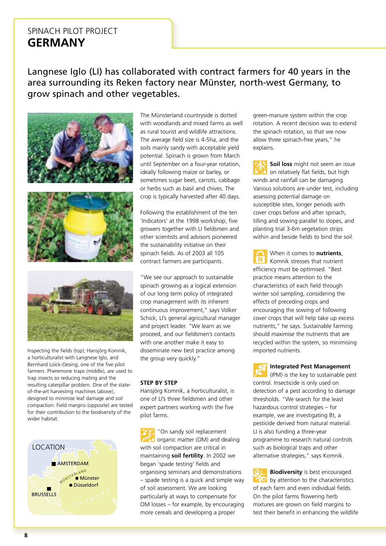### SPINACH PILOT PROJECT **GERMANY**

Langnese Iglo (LI) has collaborated with contract farmers for 40 years in the area surrounding its Reken factory near Münster, north-west Germany, to grow spinach and other vegetables.







Inspecting the fields (top); Hansjörg Komnik, a horticulturalist with Langnese Iglo, and Bernhard Loick-Oesing, one of the five pilot farmers. Pheremone traps (middle), are used to trap insects so reducing mating and the resulting caterpillar problem. One of the stateof-the-art harvesting machines (above), designed to minimise leaf damage and soil compaction. Field margins (opposite) are tested for their contribution to the biodiversity of the wider habitat.



The Münsterland countryside is dotted with woodlands and mixed farms as well as rural tourist and wildlife attractions. The average field size is 4-5ha, and the soils mainly sandy with acceptable yield potential. Spinach is grown from March until September on a four-year rotation, ideally following maize or barley, or sometimes sugar beet, carrots, cabbage or herbs such as basil and chives. The crop is typically harvested after 40 days.

Following the establishment of the ten 'Indicators' at the 1998 workshop, five growers together with LI fieldsmen and other scientists and advisors pioneered the sustainability initiative on their spinach fields. As of 2003 all 105 contract farmers are participants.

"We see our approach to sustainable spinach growing as a logical extension of our long term policy of integrated crop management with its inherent continuous improvement," says Volker Schick, LI's general agricultural manager and project leader. "We learn as we proceed, and our fieldsmen's contacts with one another make it easy to disseminate new best practice among the group very quickly."

#### **STEP BY STEP**

Hansjörg Komnik, a horticulturalist, is one of LI's three fieldsmen and other expert partners working with the five pilot farms.

"On sandy soil replacement organic matter (OM) and dealing with soil compaction are critical in maintaining **soil fertility**. In 2002 we began 'spade testing' fields and organising seminars and demonstrations – spade testing is a quick and simple way of soil assessment. We are looking particularly at ways to compensate for OM losses – for example, by encouraging more cereals and developing a proper

green-manure system within the crop rotation. A recent decision was to extend the spinach rotation, so that we now allow three spinach-free years," he explains.

**Soil loss** might not seem an issue on relatively flat fields, but high winds and rainfall can be damaging. Various solutions are under test, including assessing potential damage on susceptible sites, longer periods with cover crops before and after spinach, tilling and sowing parallel to slopes, and planting trial 3-6m vegetation strips within and beside fields to bind the soil.

When it comes to **nutrients**, Komnik stresses that nutrient efficiency must be optimised. "Best practice means attention to the characteristics of each field through winter soil sampling, considering the effects of preceding crops and encouraging the sowing of following cover crops that will help take up excess nutrients," he says. Sustainable farming should maximise the nutrients that are recycled within the system, so minimising imported nutrients.

**Integrated Pest Management** 

(IPM) is the key to sustainable pest control. Insecticide is only used on detection of a pest according to damage thresholds. "We search for the least hazardous control strategies – for example, we are investigating Bt, a pesticide derived from natural material. LI is also funding a three-year programme to research natural controls such as biological traps and other alternative strategies," says Komnik.

**Biodiversity** is best encouraged by attention to the characteristics of each farm and even individual fields. On the pilot farms flowering herb mixtures are grown on field margins to test their benefit in enhancing the wildlife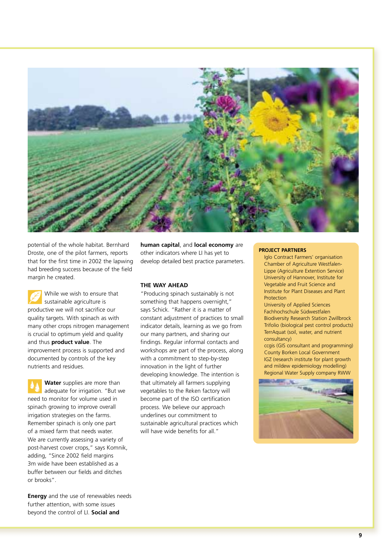

potential of the whole habitat. Bernhard Droste, one of the pilot farmers, reports that for the first time in 2002 the lapwing had breeding success because of the field margin he created.

While we wish to ensure that sustainable agriculture is productive we will not sacrifice our quality targets. With spinach as with many other crops nitrogen management is crucial to optimum yield and quality and thus **product value**. The improvement process is supported and documented by controls of the key nutrients and residues.

**Water** supplies are more than adequate for irrigation. "But we need to monitor for volume used in spinach growing to improve overall irrigation strategies on the farms. Remember spinach is only one part of a mixed farm that needs water. We are currently assessing a variety of post-harvest cover crops," says Komnik, adding, "Since 2002 field margins 3m wide have been established as a buffer between our fields and ditches or brooks".

**Energy** and the use of renewables needs further attention, with some issues beyond the control of LI. **Social and** 

**human capital**, and **local economy** are other indicators where LI has yet to develop detailed best practice parameters.

#### **THE WAY AHEAD**

"Producing spinach sustainably is not something that happens overnight," says Schick. "Rather it is a matter of constant adjustment of practices to small indicator details, learning as we go from our many partners, and sharing our findings. Regular informal contacts and workshops are part of the process, along with a commitment to step-by-step innovation in the light of further developing knowledge. The intention is that ultimately all farmers supplying vegetables to the Reken factory will become part of the ISO certification process. We believe our approach underlines our commitment to sustainable agricultural practices which will have wide benefits for all."

#### **PROJECT PARTNERS**

Iglo Contract Farmers' organisation Chamber of Agriculture Westfalen-Lippe (Agriculture Extention Service) University of Hannover, Institute for Vegetable and Fruit Science and Institute for Plant Diseases and Plant Protection

University of Applied Sciences Fachhochschule Südwestfalen Biodiversity Research Station Zwillbrock Trifolio (biological pest control products) TerrAquat (soil, water, and nutrient consultancy)

ccgis (GIS consultant and programming) County Borken Local Government IGZ (research institute for plant growth and mildew epidemiology modelling) Regional Water Supply company RWW

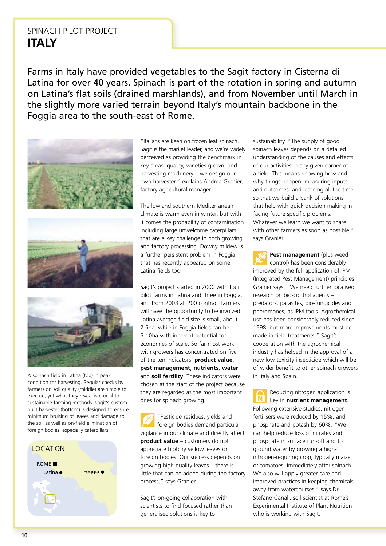### SPINACH PILOT PROJECT **ITAIY**

Farms in Italy have provided vegetables to the Sagit factory in Cisterna di Latina for over 40 years. Spinach is part of the rotation in spring and autumn on Latina's flat soils (drained marshlands), and from November until March in the slightly more varied terrain beyond Italy's mountain backbone in the Foggia area to the south-east of Rome.



A spinach field in Latina (top) in peak condition for harvesting. Regular checks by farmers on soil quality (middle) are simple to execute, yet what they reveal is crucial to sustainable farming methods. Sagit's custombuilt harvester (bottom) is designed to ensure minimum bruising of leaves and damage to the soil as well as on-field elimination of foreign bodies, especially caterpillars.



"Italians are keen on frozen leaf spinach. Sagit is the market leader, and we're widely perceived as providing the benchmark in key areas: quality, varieties grown, and harvesting machinery – we design our own harvester," explains Andrea Granier, factory agricultural manager.

The lowland southern Mediterranean climate is warm even in winter, but with it comes the probability of contamination including large unwelcome caterpillars that are a key challenge in both growing and factory processing. Downy mildew is a further persistent problem in Foggia that has recently appeared on some Latina fields too.

Sagit's project started in 2000 with four pilot farms in Latina and three in Foggia. and from 2003 all 200 contract farmers will have the opportunity to be involved. Latina average field size is small, about 2.5ha, while in Foggia fields can be 5-10ha with inherent potential for economies of scale. So far most work with growers has concentrated on five of the ten indicators: **product value**, **pest management**, **nutrients**, **water**  and **soil fertility**. These indicators were chosen at the start of the project because they are regarded as the most important ones for spinach growing.

"Pesticide residues, yields and foreign bodies demand particular vigilance in our climate and directly affect **product value** – customers do not appreciate blotchy yellow leaves or foreign bodies. Our success depends on growing high quality leaves – there is little that can be added during the factory process," says Granier.

Sagit's on-going collaboration with scientists to find focused rather than generalised solutions is key to

sustainability. "The supply of good spinach leaves depends on a detailed understanding of the causes and effects of our activities in any given corner of a field. This means knowing how and why things happen, measuring inputs and outcomes, and learning all the time so that we build a bank of solutions that help with quick decision making in facing future specific problems. Whatever we learn we want to share with other farmers as soon as possible," says Granier.

**Pest management** (plus weed control) has been considerably improved by the full application of IPM (Integrated Pest Management) principles. Granier says, "We need further localised research on bio-control agents – predators, parasites, bio-fungicides and pheromones, as IPM tools. Agrochemical use has been considerably reduced since 1998, but more improvements must be made in field treatments." Sagit's cooperation with the agrochemical industry has helped in the approval of a new low toxicity insecticide which will be of wider benefit to other spinach growers in Italy and Spain.

Reducing nitrogen application is key in **nutrient management**. Following extensive studies, nitrogen fertilisers were reduced by 15%, and phosphate and potash by 60%. "We can help reduce loss of nitrates and phosphate in surface run-off and to ground water by growing a highnitrogen-requiring crop, typically maize or tomatoes, immediately after spinach. We also will apply greater care and improved practices in keeping chemicals away from watercourses," says Dr Stefano Canali, soil scientist at Rome's Experimental Institute of Plant Nutrition who is working with Sagit.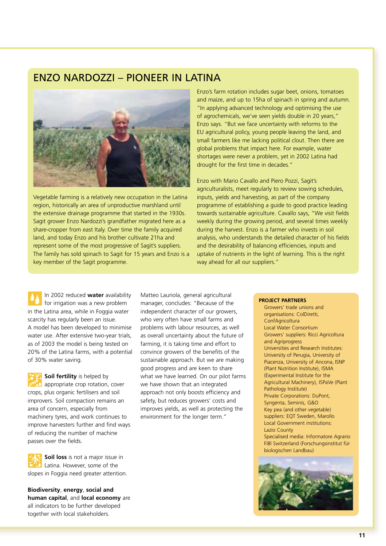### ENZO NARDOZZI – PIONEER IN LATINA



Vegetable farming is a relatively new occupation in the Latina region, historically an area of unproductive marshland until the extensive drainage programme that started in the 1930s. Sagit grower Enzo Nardozzi's grandfather migrated here as a share-cropper from east Italy. Over time the family acquired land, and today Enzo and his brother cultivate 21ha and represent some of the most progressive of Sagit's suppliers. The family has sold spinach to Sagit for 15 years and Enzo is a key member of the Sagit programme.

Enzo's farm rotation includes sugar beet, onions, tomatoes and maize, and up to 15ha of spinach in spring and autumn. "In applying advanced technology and optimising the use of agrochemicals, we've seen yields double in 20 years," Enzo says. "But we face uncertainty with reforms to the EU agricultural policy, young people leaving the land, and small farmers like me lacking political clout. Then there are global problems that impact here. For example, water shortages were never a problem, yet in 2002 Latina had drought for the first time in decades."

Enzo with Mario Cavallo and Piero Pozzi, Sagit's agriculturalists, meet regularly to review sowing schedules, inputs, yields and harvesting, as part of the company programme of establishing a guide to good practice leading towards sustainable agriculture. Cavallo says, "We visit fields weekly during the growing period, and several times weekly during the harvest. Enzo is a farmer who invests in soil analysis, who understands the detailed character of his fields and the desirability of balancing efficiencies, inputs and uptake of nutrients in the light of learning. This is the right way ahead for all our suppliers."

In 2002 reduced **water** availability for irrigation was a new problem in the Latina area, while in Foggia water scarcity has regularly been an issue. A model has been developed to minimise water use. After extensive two-year trials, as of 2003 the model is being tested on 20% of the Latina farms, with a potential of 30% water saving.



**Soil fertility** is helped by appropriate crop rotation, cover crops, plus organic fertilisers and soil

improvers. Soil compaction remains an area of concern, especially from machinery tyres, and work continues to improve harvesters further and find ways of reducing the number of machine passes over the fields.

**Soil loss** is not a major issue in Latina. However, some of the slopes in Foggia need greater attention.

**Biodiversity**, **energy**, **social and human capital**, and **local economy** are all indicators to be further developed together with local stakeholders.

Matteo Lauriola, general agricultural manager, concludes: "Because of the independent character of our growers, who very often have small farms and problems with labour resources, as well as overall uncertainty about the future of farming, it is taking time and effort to convince growers of the benefits of the sustainable approach. But we are making good progress and are keen to share what we have learned. On our pilot farms we have shown that an integrated approach not only boosts efficiency and safety, but reduces growers' costs and improves yields, as well as protecting the environment for the longer term."

#### **PROJECT PARTNERS**

Growers' trade unions and organisations: ColDiretti, **ConfAgricoltura** Local Water Consortium Growers' suppliers: Ricci Agricoltura and Agriprogress Universities and Research Institutes: University of Perugia, University of Piacenza, University of Ancona, ISNP (Plant Nutrition Institute), ISMA (Experimental Institute for the Agricultural Machinery), ISPaVe (Plant Pathology Institute) Private Corporations: DuPont, Syngenta, Seminis, G&O Key pea (and other vegetable) suppliers: EQT Sweden, Marollo Local Government institutions: Lazio County Specialised media: Informatore Agrario FiBl Switzerland (Forschungsinstitut für biologischen Landbau)

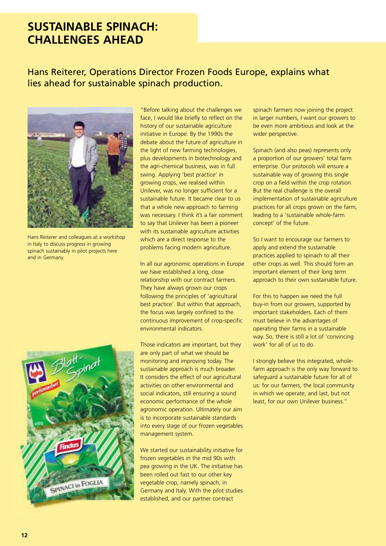# **SUSTAINABLE SPINACH: CHALLENGES AHEAD**

### Hans Reiterer, Operations Director Frozen Foods Europe, explains what lies ahead for sustainable spinach production.



Hans Reiterer and colleagues at a workshop in Italy to discuss progress in growing spinach sustainably in pilot projects here and in Germany.



"Before talking about the challenges we face, I would like briefly to reflect on the history of our sustainable agriculture initiative in Europe. By the 1990s the debate about the future of agriculture in the light of new farming technologies, plus developments in biotechnology and the agri-chemical business, was in full swing. Applying 'best practice' in growing crops, we realised within Unilever, was no longer sufficient for a sustainable future. It became clear to us that a whole new approach to farming was necessary. I think it's a fair comment to say that Unilever has been a pioneer with its sustainable agriculture activities which are a direct response to the problems facing modern agriculture.

In all our agronomic operations in Europe we have established a long, close relationship with our contract farmers. They have always grown our crops following the principles of 'agricultural best practice'. But within that approach, the focus was largely confined to the continuous improvement of crop-specific environmental indicators.

Those indicators are important, but they are only part of what we should be monitoring and improving today. The sustainable approach is much broader. It considers the effect of our agricultural activities on other environmental and social indicators, still ensuring a sound economic performance of the whole agronomic operation. Ultimately our aim is to incorporate sustainable standards into every stage of our frozen vegetables management system.

We started our sustainability initiative for frozen vegetables in the mid 90s with pea growing in the UK. The initiative has been rolled out fast to our other key vegetable crop, namely spinach, in Germany and Italy. With the pilot studies established, and our partner contract

spinach farmers now joining the project in larger numbers, I want our growers to be even more ambitious and look at the wider perspective.

Spinach (and also peas) represents only a proportion of our growers' total farm enterprise. Our protocols will ensure a sustainable way of growing this single crop on a field within the crop rotation. But the real challenge is the overall implementation of sustainable agriculture practices for all crops grown on the farm, leading to a 'sustainable whole-farm concept' of the future.

So I want to encourage our farmers to apply and extend the sustainable practices applied to spinach to all their other crops as well. This should form an important element of their long term approach to their own sustainable future.

For this to happen we need the full buy-in from our growers, supported by important stakeholders. Each of them must believe in the advantages of operating their farms in a sustainable way. So, there is still a lot of 'convincing work' for all of us to do.

I strongly believe this integrated, wholefarm approach is the only way forward to safeguard a sustainable future for all of us: for our farmers, the local community in which we operate, and last, but not least, for our own Unilever business."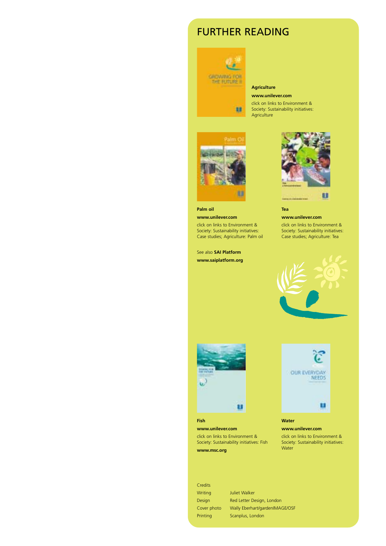### FURTHER READING



#### **Agriculture**

88

**www.unilever.com**  click on links to Environment & Society: Sustainability initiatives: **Agriculture** 



**Palm oil www.unilever.com**  click on links to Environment & Society: Sustainability initiatives:

Case studies; Agriculture: Palm oil

See also **SAI Platform** 

**www.saiplatform.org** 



**Tea www.unilever.com** 

click on links to Environment & Society: Sustainability initiatives: Case studies; Agriculture: Tea





**Fish www.unilever.com**  click on links to Environment & Society: Sustainability initiatives: Fish **www.msc.org** 



**Water www.unilever.com** 

click on links to Environment & Society: Sustainability initiatives: **Water** 

Credits

Writing Juliet Walker Design Red Letter Design, London Cover photo Wally Eberhart/gardenIMAGE/OSF Printing Scanplus, London